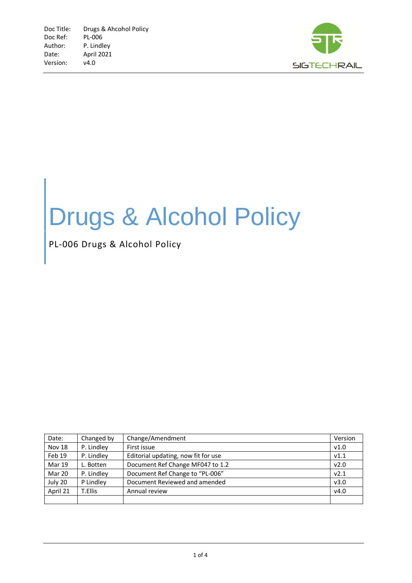

## Drugs & Alcohol Policy

PL-006 Drugs & Alcohol Policy

| Date:         | Changed by | Change/Amendment                    | Version          |
|---------------|------------|-------------------------------------|------------------|
| <b>Nov 18</b> | P. Lindley | First issue                         | V1.0             |
| Feb 19        | P. Lindley | Editorial updating, now fit for use | V1.1             |
| <b>Mar 19</b> | L. Botten  | Document Ref Change MF047 to 1.2    | v2.0             |
| Mar 20        | P. Lindley | Document Ref Change to "PL-006"     | V <sub>2.1</sub> |
| July 20       | P Lindley  | Document Reviewed and amended       | v3.0             |
| April 21      | T.Ellis    | Annual review                       | v4.0             |
|               |            |                                     |                  |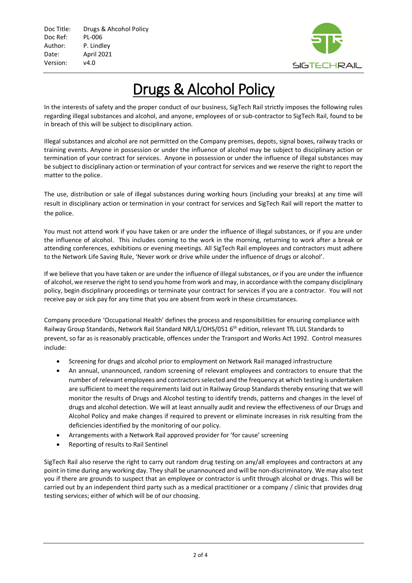

## Drugs & Alcohol Policy

In the interests of safety and the proper conduct of our business, SigTech Rail strictly imposes the following rules regarding illegal substances and alcohol, and anyone, employees of or sub-contractor to SigTech Rail, found to be in breach of this will be subject to disciplinary action.

Illegal substances and alcohol are not permitted on the Company premises, depots, signal boxes, railway tracks or training events. Anyone in possession or under the influence of alcohol may be subject to disciplinary action or termination of your contract for services. Anyone in possession or under the influence of illegal substances may be subject to disciplinary action or termination of your contract for services and we reserve the right to report the matter to the police.

The use, distribution or sale of illegal substances during working hours (including your breaks) at any time will result in disciplinary action or termination in your contract for services and SigTech Rail will report the matter to the police.

You must not attend work if you have taken or are under the influence of illegal substances, or if you are under the influence of alcohol. This includes coming to the work in the morning, returning to work after a break or attending conferences, exhibitions or evening meetings. All SigTech Rail employees and contractors must adhere to the Network Life Saving Rule, 'Never work or drive while under the influence of drugs or alcohol'.

If we believe that you have taken or are under the influence of illegal substances, or if you are under the influence of alcohol, we reserve the right to send you home from work and may, in accordance with the company disciplinary policy, begin disciplinary proceedings or terminate your contract for services if you are a contractor. You will not receive pay or sick pay for any time that you are absent from work in these circumstances.

Company procedure 'Occupational Health' defines the process and responsibilities for ensuring compliance with Railway Group Standards, Network Rail Standard NR/L1/OHS/051 6<sup>th</sup> edition, relevant TfL LUL Standards to prevent, so far as is reasonably practicable, offences under the Transport and Works Act 1992. Control measures include:

- Screening for drugs and alcohol prior to employment on Network Rail managed infrastructure
- An annual, unannounced, random screening of relevant employees and contractors to ensure that the number of relevant employees and contractors selected and the frequency at which testing is undertaken are sufficient to meet the requirements laid out in Railway Group Standards thereby ensuring that we will monitor the results of Drugs and Alcohol testing to identify trends, patterns and changes in the level of drugs and alcohol detection. We will at least annually audit and review the effectiveness of our Drugs and Alcohol Policy and make changes if required to prevent or eliminate increases in risk resulting from the deficiencies identified by the monitoring of our policy.
- Arrangements with a Network Rail approved provider for 'for cause' screening
- Reporting of results to Rail Sentinel

SigTech Rail also reserve the right to carry out random drug testing on any/all employees and contractors at any point in time during any working day. They shall be unannounced and will be non-discriminatory. We may also test you if there are grounds to suspect that an employee or contractor is unfit through alcohol or drugs. This will be carried out by an independent third party such as a medical practitioner or a company / clinic that provides drug testing services; either of which will be of our choosing.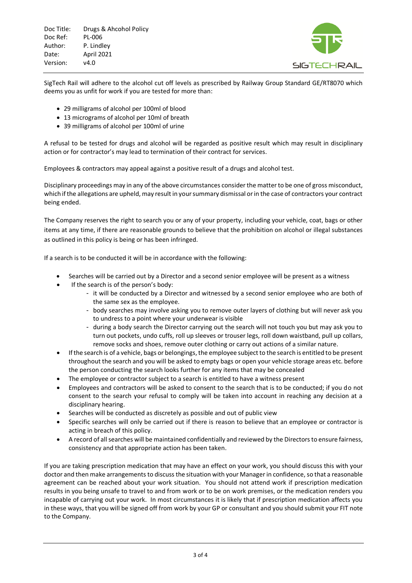Doc Title: Drugs & Ahcohol Policy Doc Ref: PL-006 Author: P. Lindley Date: April 2021 Version: v4.0



SigTech Rail will adhere to the alcohol cut off levels as prescribed by Railway Group Standard GE/RT8070 which deems you as unfit for work if you are tested for more than:

- 29 milligrams of alcohol per 100ml of blood
- 13 micrograms of alcohol per 10ml of breath
- 39 milligrams of alcohol per 100ml of urine

A refusal to be tested for drugs and alcohol will be regarded as positive result which may result in disciplinary action or for contractor's may lead to termination of their contract for services.

Employees & contractors may appeal against a positive result of a drugs and alcohol test.

Disciplinary proceedings may in any of the above circumstances consider the matter to be one of gross misconduct, which if the allegations are upheld, may result in your summary dismissal or in the case of contractors your contract being ended.

The Company reserves the right to search you or any of your property, including your vehicle, coat, bags or other items at any time, if there are reasonable grounds to believe that the prohibition on alcohol or illegal substances as outlined in this policy is being or has been infringed.

If a search is to be conducted it will be in accordance with the following:

- Searches will be carried out by a Director and a second senior employee will be present as a witness
- If the search is of the person's body:
	- it will be conducted by a Director and witnessed by a second senior employee who are both of the same sex as the employee.
	- body searches may involve asking you to remove outer layers of clothing but will never ask you to undress to a point where your underwear is visible
	- during a body search the Director carrying out the search will not touch you but may ask you to turn out pockets, undo cuffs, roll up sleeves or trouser legs, roll down waistband, pull up collars, remove socks and shoes, remove outer clothing or carry out actions of a similar nature.
- If the search is of a vehicle, bags or belongings, the employee subject to the search is entitled to be present throughout the search and you will be asked to empty bags or open your vehicle storage areas etc. before the person conducting the search looks further for any items that may be concealed
- The employee or contractor subject to a search is entitled to have a witness present
- Employees and contractors will be asked to consent to the search that is to be conducted; if you do not consent to the search your refusal to comply will be taken into account in reaching any decision at a disciplinary hearing.
- Searches will be conducted as discretely as possible and out of public view
- Specific searches will only be carried out if there is reason to believe that an employee or contractor is acting in breach of this policy.
- A record of all searches will be maintained confidentially and reviewed by the Directors to ensure fairness, consistency and that appropriate action has been taken.

If you are taking prescription medication that may have an effect on your work, you should discuss this with your doctor and then make arrangements to discuss the situation with your Manager in confidence, so that a reasonable agreement can be reached about your work situation. You should not attend work if prescription medication results in you being unsafe to travel to and from work or to be on work premises, or the medication renders you incapable of carrying out your work. In most circumstances it is likely that if prescription medication affects you in these ways, that you will be signed off from work by your GP or consultant and you should submit your FIT note to the Company.